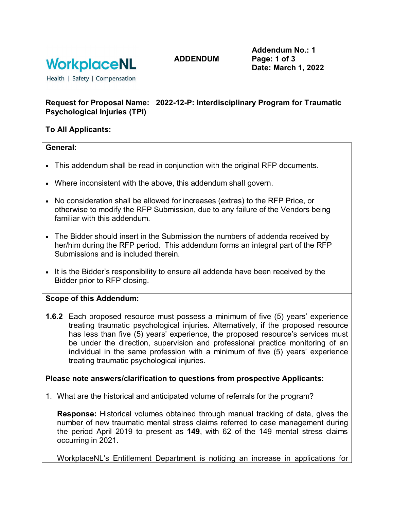

**ADDENDUM**

**Addendum No.: 1 Page: 1 of 3 Date: March 1, 2022**

Health | Safety | Compensation

# **Request for Proposal Name: 2022-12-P: Interdisciplinary Program for Traumatic Psychological Injuries (TPI)**

# **To All Applicants:**

#### **General:**

- This addendum shall be read in conjunction with the original RFP documents.
- Where inconsistent with the above, this addendum shall govern.
- No consideration shall be allowed for increases (extras) to the RFP Price, or otherwise to modify the RFP Submission, due to any failure of the Vendors being familiar with this addendum.
- The Bidder should insert in the Submission the numbers of addenda received by her/him during the RFP period. This addendum forms an integral part of the RFP Submissions and is included therein.
- It is the Bidder's responsibility to ensure all addenda have been received by the Bidder prior to RFP closing.

## **Scope of this Addendum:**

**1.6.2** Each proposed resource must possess a minimum of five (5) years' experience treating traumatic psychological injuries. Alternatively, if the proposed resource has less than five (5) years' experience, the proposed resource's services must be under the direction, supervision and professional practice monitoring of an individual in the same profession with a minimum of five (5) years' experience treating traumatic psychological injuries.

## **Please note answers/clarification to questions from prospective Applicants:**

1. What are the historical and anticipated volume of referrals for the program?

**Response:** Historical volumes obtained through manual tracking of data, gives the number of new traumatic mental stress claims referred to case management during the period April 2019 to present as **149**, with 62 of the 149 mental stress claims occurring in 2021.

WorkplaceNL's Entitlement Department is noticing an increase in applications for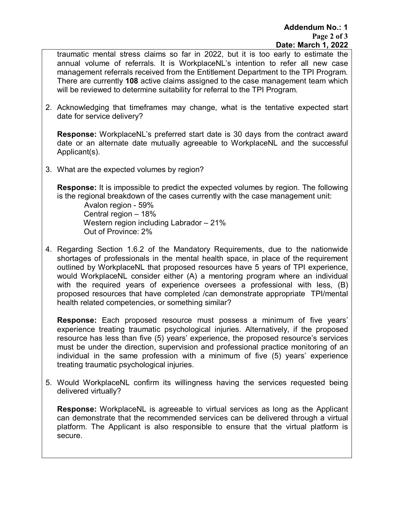traumatic mental stress claims so far in 2022, but it is too early to estimate the annual volume of referrals. It is WorkplaceNL's intention to refer all new case management referrals received from the Entitlement Department to the TPI Program. There are currently **108** active claims assigned to the case management team which will be reviewed to determine suitability for referral to the TPI Program.

2. Acknowledging that timeframes may change, what is the tentative expected start date for service delivery?

**Response:** WorkplaceNL's preferred start date is 30 days from the contract award date or an alternate date mutually agreeable to WorkplaceNL and the successful Applicant(s).

3. What are the expected volumes by region?

**Response:** It is impossible to predict the expected volumes by region. The following is the regional breakdown of the cases currently with the case management unit:

 Avalon region - 59% Central region – 18% Western region including Labrador – 21% Out of Province: 2%

4. Regarding Section 1.6.2 of the Mandatory Requirements, due to the nationwide shortages of professionals in the mental health space, in place of the requirement outlined by WorkplaceNL that proposed resources have 5 years of TPI experience, would WorkplaceNL consider either (A) a mentoring program where an individual with the required years of experience oversees a professional with less, (B) proposed resources that have completed /can demonstrate appropriate TPI/mental health related competencies, or something similar?

**Response:** Each proposed resource must possess a minimum of five years' experience treating traumatic psychological injuries. Alternatively, if the proposed resource has less than five (5) years' experience, the proposed resource's services must be under the direction, supervision and professional practice monitoring of an individual in the same profession with a minimum of five (5) years' experience treating traumatic psychological injuries.

5. Would WorkplaceNL confirm its willingness having the services requested being delivered virtually?

**Response:** WorkplaceNL is agreeable to virtual services as long as the Applicant can demonstrate that the recommended services can be delivered through a virtual platform. The Applicant is also responsible to ensure that the virtual platform is secure.